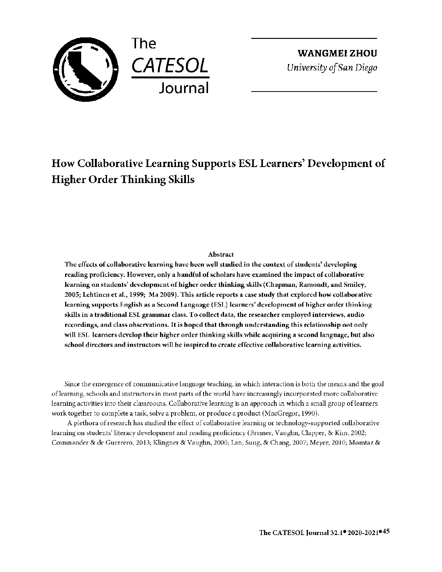

**WANGMEIZHOU**  *University of San Diego* 

# **How Collaborative Learning Supports ESL Learners' Development of Higher Order Thinking Skills**

## **Abstract**

The effects of collaborative learning have heen well studied in the context of students' developing **reading proficiency. However, only a handful of scholars have examined the impact of collaborative learning on students' development of higher order thinking skills (Chapman, Ramondt, and Smiley, 2005; Lehtinen et al., 1999; Ma 2009). This article reports a case study that explored how collaborative learning supports English as a Second I.anguage (ESL) learners' development of higher order thinking skills in a traditional ESL grammar class. To collect data, the researcher employed interviews, audio recordings, and class observations.** It **is hoped that through understanding this relationship not only**  will ESL learners develop their higher order thinking skills while acquiring a second language, but also school directors and instructors will be inspired to create effective collaborative learning activities.

Since the emergence of communicative language teaching, in which interaction is both the means and the goal oflearning, schools and instructors in most parts of the world have increasingly incorporated more collaborative learning activities into their classrooms. Collaborative learning is an approach in which a small group oflearners work together to complete a task, solve a problem, or produce a product (MacGregor, 1990).

A plethora of research has studied the effect of collaborative learning or technology-supported collaborative learning on students' literacy development and reading proficiency (Bremer, Vaughn, Clapper, & Kim, 2002; Commander & de Guerrero, 2013; Klingner & Vaughn, 2000; Lan, Sung, & Chang, 2007; Meyer, 2010; Momtaz &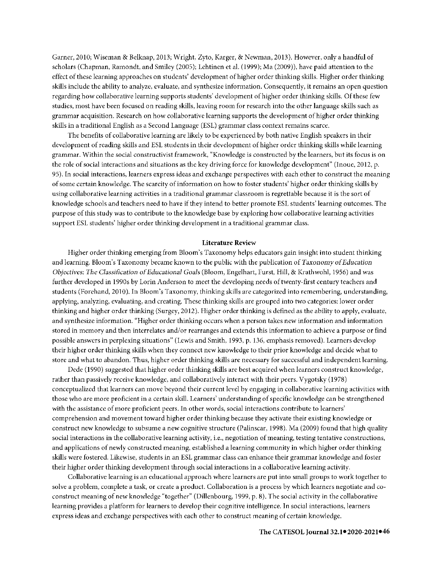Garner, 2010; Wiseman & Belknap, 2013; Wright, Zyto, Karger, & Newman, 2013). However, only a handful of scholars (Chapman, Ramondt, and Smiley (2005); Lehtinen et al. (1999); Ma (2009)), have paid attention to the effect of these learning approaches on students' development of higher order thinking skills. Higher order thinking skills include the ability to analyze, evaluate, and synthesize information. Consequently, it remains an open question regarding how collaborative learning supports students' development of higher order thinking skills. Of these few studies, most have been focused on reading skills, leaving room for research into the other language skills such as grammar acquisition. Research on how collaborative learning supports the development of higher order thinking skills in a traditional English as a Second Language (ESL) grammar class context remains scarce.

The benefits of collaborative learning are likely to be experienced by both native English speakers in their development of reading skills and ESL students in their development of higher order thinking skills while learning grammar. Within the social constructivist framework, "Knowledge is constructed by the learners, but its focus is on the role of social interactions and situations as the key driving force for knowledge development" (Inoue, 2012, p. 95). In social interactions, learners express ideas and exchange perspectives with each other to construct the meaning of some certain knowledge. The scarcity of information on how to foster students' higher order thinking skills by using collaborative learning activities in a traditional grammar classroom is regrettable because it is the sort of knowledge schools and teachers need **to** have if they intend to better promote ESL students' learning outcomes. The purpose of this study was to contribute to the knowledge base by exploring how collaborative learning activities support ESL students' higher order thinking development in a traditional grammar class.

#### **Literature Review**

Higher order thinking emerging from Bloom's Taxonomy helps educators gain insight into student thinking and learning. Bloom's Taxonomy became known to the public with the publication of *Taxonomy of Education Objectives: The Classification* of *Educational Goals* (Bloom, Engelhart, Furst, Hill, & Krathwohl, 1956) and was further developed in 1990s by Lorin Anderson to meet the developing needs of twenty-first century teachers and students (Forehand, 2010). In Bloom's Taxonomy, thinking skills are categorized into remembering, understanding, applying, analyzing, evaluating, and creating. These thinking skills are grouped into two categories: lower order thinking and higher order thinking (Surgey, 2012). Higher order thinking is defined as the ability to apply, evaluate, and synthesize information. "Higher order thinking occurs when a person takes new information and information stored in memory and then interrelates and/or rearranges and extends this information to achieve a purpose or find possible answers in perplexing situations" (Lewis and Smith, 1993, p. 136, emphasis removed). Learners develop their higher order thinking skills when they connect new knowledge to their prior knowledge and decide what to store and what to abandon. Thus, higher order thinking skills are necessary for successful and independent learning.

Dede (1990) suggested that higher order thinking skills are best acquired when learners construct knowledge, rather than passively receive knowledge, and collaboratively interact with their peers. Vygotsky (1978) conceptualized that learners can move beyond their current level by engaging in collaborative learning activities with those who are more proficient in a certain skill. Learners' understanding of specific knowledge can be strengthened with the assistance of more proficient peers. In other words, social interactions contribute to learners' comprehension and movement toward higher order thinking because they activate their existing knowledge or construct new knowledge to subsume a new cognitive structure (Palinscar, 1998). Ma (2009) found that high quality social interactions in the collaborative learning activity, i.e., negotiation of meaning, testing tentative constructions, and applications of newly constructed meaning, established a learning community in which higher order thinking skills were fostered. Likewise, students in an ESL grammar class can enhance their grammar knowledge and foster their higher order thinking development through social interactions in a collaborative learning activity.

Collaborative learning is an educational approach where learners are put into small groups to work together to solve a problem, complete a task, or create a product. Collaboration is a process by which learners negotiate and coconstruct meaning of new knowledge "together" (Dillenbourg, 1999, p. 8). The social activity in the collaborative learning provides a platform for learners to develop their cognitive intelligence. In social interactions, learners express ideas and exchange perspectives with each other to construct meaning of certain knowledge.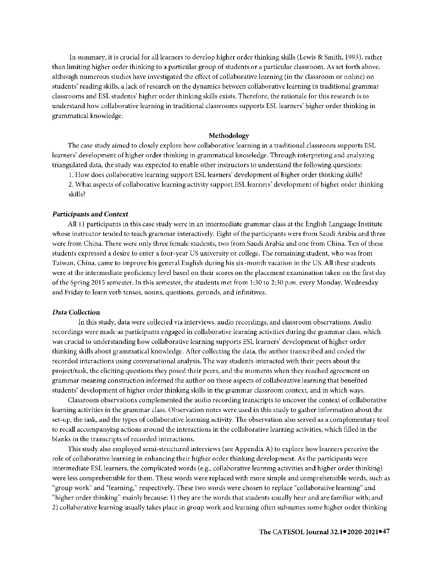In summary, it is crucial for all learners to develop higher order thinking skills (Lewis & Smith, 1993), rather than limiting higher order thinking to a particular group of students or a particular classroom. As set forth above, although numerous studies have investigated the effect of collaborative learning (in the classroom or online) on students' reading skills, a lack of research on the dynamics between collaborative learning in traditional grammar classrooms and ESL students' higher order thinking skills exists. Therefore, the rationale for this research is to understand how collaborative learning in traditional classrooms supports ESL learners' higher order thinking in grammatical knowledge.

## **Methodology**

The case study aimed to closely explore how collaborative learning in a traditional classroom supports ESL learners' development of higher order thinking in grammatical knowledge. Through interpreting and analyzing triangulated data, the study was expected to enable other instructors to understand the following questions:

1. How does collaborative learning support ESL learners' development of higher order thinking skills? 2. What aspects of collaborative learning activity support ESL learners' development of higher order thinking skills?

#### *Participants* **and** *Context*

All 11 participants in this case study were in an intermediate grammar class at the English Language Institute whose instructor tended to teach grammar interactively. Eight of the participants were from Saudi Arabia and three were from China. There were only three frmale students, two from Saudi Arabia and one from China. Ten of these students expressed a desire to enter a four-year US university or college. The remaining student, who was from Taiwan, China, came to improve his general English during his six-month vacation in the US. All these students were at the intermediate proficiency level based on their scores on the placement examination taken on the first day of the Spring 2015 semester. In this semester, the students met from 1 :30 to 2:30 p.m. every Monday, Wednesday and Friday to learn verb tenses, nouns, questions, gerunds, and infinitives.

#### **Data** *Collection*

ln this study, data were collected via interviews, audio recordings, and classroom observations. Audio recordings were made as participants engaged in collaborative learning activities during the grammar class, which was crucial to understanding how collaborative learning supports ESL learners' development of higher order thinking skills about grammatical knowledge. After collecting the data, the author transcribed and coded the recorded interactions using conversational analysis. The way students interacted with their peers about the project/task, the eliciting questions they posed their peers, and the moments when they reached agreement on grammar meaning construction informed the author on those aspects of collaborative learning that benefited students' development of higher order thinking skills in the grammar classroom context, and in which ways.

Classroom observations complemented the audio recording transcripts to uncover the context of collaborative learning activities in the grammar class. Observation notes were used in this study to gather information about the set-up, the task, and the types of collaborative learning activity. The observation also served as a complementary tool to recall accompanying actions around the interactions in the collaborative learning activities, which filled in the blanks in the transcripts of recorded interactions.

This study also employed semi-structured interviews (see Appendix A) to explore how learners perceive the role of collaborative learning in enhancing their higher order thinking development. As the participants were intermediate ESL learners, the complicated words (e.g., collaborative learning activities and higher order thinking) were less comprehensible for them. These words were replaced with more simple and comprehensible words, such as "group work" and "learning," respectively. These two words were chosen to replace "collaborative learning" and "higher order thinking" mainly because: 1) they are the words that students usually hear and are familiar with; and 2) collaborative learning usually takes place in group work and learning often subsumes some higher order thinking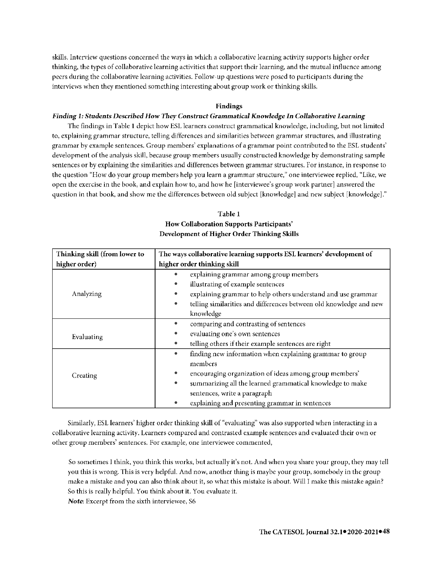skills. Interview questions concerned the ways in which a collaborative learning activity supports higher order thinking, the types of collaborative learning activities that support their learning, and the mutual influence among peers during the collaborative learning activities. Follow-up questions were posed to participants during the interviews when they mentioned something interesting about group work or thinking skills.

## **Findings**

## *Finding 1: Students Described* **How** *They Construct Grammatical Knowledge In Collaborative Learning*

The findings in Table **1** depict how ESL learners construct grammatical knowledge, including, but not limited to, explaining grammar structure, telling differences and similarities between grammar structures, and illustrating grammar by example sentences. Group members' explanations of a grammar point contributed to the ESL students' development of the analysis skill, because group members usually constructed knowledge by demonstrating sample sentences or by explaining the similarities and differences between grammar structures. For instance, in response to the question "How do your group members help you learn a grammar structure," one interviewee replied, "Like, we open the exercise in the book, and explain how to, and how he [interviewee's group work partner] answered the question **in** that book, and show me the differences between old subject [knowledge] and new subject [knowledge]."

| Thinking skill (from lower to | The ways collaborative learning supports ESL learners' development of           |  |  |
|-------------------------------|---------------------------------------------------------------------------------|--|--|
| higher order)                 | higher order thinking skill                                                     |  |  |
| Analyzing                     | explaining grammar among group members                                          |  |  |
|                               | illustrating of example sentences<br>$\bullet$                                  |  |  |
|                               | explaining grammar to help others understand and use grammar                    |  |  |
|                               | telling similarities and differences between old knowledge and new<br>$\bullet$ |  |  |
|                               | knowledge                                                                       |  |  |
| Evaluating                    | comparing and contrasting of sentences                                          |  |  |
|                               | evaluating one's own sentences<br>$\bullet$                                     |  |  |
|                               | telling others if their example sentences are right                             |  |  |
| Creating                      | finding new information when explaining grammar to group<br>$\bullet$           |  |  |
|                               | members                                                                         |  |  |
|                               | encouraging organization of ideas among group members'<br>$\bullet$             |  |  |
|                               | summarizing all the learned grammatical knowledge to make<br>$\bullet$          |  |  |
|                               | sentences, write a paragraph                                                    |  |  |
|                               | explaining and presenting grammar in sentences                                  |  |  |

# **Table 1 How Collaboration Supports Participants' Development of Higher Order Thinking Skills**

Similarly, ESL learners' higher order thinking skill of "evaluating" was also supported when interacting in a collaborative learning activity. Learners compared and contrasted example sentences and evaluated their own or other group members' sentences. For example, one interviewee commented,

So sometimes I think, you think this works, but actually it's not. And when you share your group, they may tell you this is wrong. This is very helpful. And now, another thing is maybe your group, somebody in the group make a mistake and you can also think about it, so what this mistake is about. Will I make this mistake again? So this is really helpful. You think about it. You evaluate it.

*Note.* Excerpt from the sixth interviewee, S6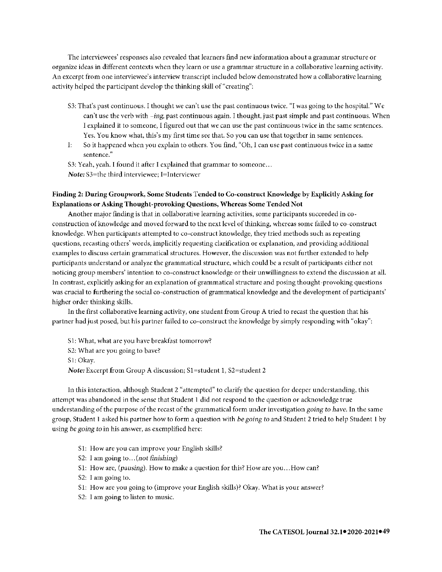The interviewees' responses also revealed that learners find new information about a grammar structure or organize ideas in different contexts when they learn or use a grammar structure in a collaborative learning activity. An excerpt from one interviewee's interview transcript included below demonstrated how a collaborative learning activity helped the participant develop the thinking skill of"creating":

- S3: That's past continuous. I thought we can't use the past continuous twice. "I was going to the hospital." We can't use the verb with *-ing,* past continuous again. I thought, just past simple and past continuous. When I explained it to someone, I figured out that we can use the past continuous twice in the same sentences. Yes. You know what, this's my first time see that. So you can use that together in same sentences.
- I: So **it** happened when you explain to others. You find, "Oh, I can use past continuous twice in a same sentence."
- S3: Yeah, yeah. I found it after I explained that grammar to someone... *Note:* S3=the third interviewee; l=lnterviewer

# **Finding 2: During Groupwork, Some Students Tended to Co-construct Knowledge by Explicitly Asking for Explanations or Asking Thought-provoking Questions, Whereas Some Tended Not**

Another major finding is that in collaborative learning activities, some participants succeeded in coconstruction of knowledge and moved forward to the next level of thinking, whereas some failed to co-construct knowledge. When participants attempted to co-construct knowledge, they tried methods such as repeating questions, recasting others' words, implicitly requesting clarification or explanation, and providing additional examples to discuss certain grammatical structures. However, the discussion was not further extended to help participants understand or analyze the grammatical structure, which could be a result of participants either not noticing group members' intention to co-construct knowledge or their unwillingness to extend the discussion at all. In contrast, explicitly asking for an explanation of grammatical structure and posing thought-provoking questions was crucial to furthering the social co-construction of grammatical knowledge and the development of participants' higher order thinking skills.

In the first collaborative learning activity, one student from Group A tried to recast the question that his partner had just posed, but his partner failed to co-construct the knowledge by simply responding with "okay":

- S 1: What, what are you have breakfast tomorrow?
- S2: What are you going to have?

Sl:Okay.

*Note: Excerpt from Group A discussion; S1=student 1, S2=student 2* 

In this interaction, although Student 2 "attempted" to clarify the question for deeper understanding, this attempt was abandoned in the sense that Student 1 did not respond to the question or acknowledge true understanding of the purpose of the recast of the grammatical form under investigation *going to liavc.* In the same group, Student I asked his partner how to form a question with *be* going *to* and Student 2 tried to help Student I by using *be going to* in his answer, as exemplified here:

- Sl: How are you can improve your English skills?
- S2: I am going to ... *(not finishing)*
- Sl: How are, *(pausing).* How to make a question for this? How are you ... How can?
- S2: I am going to.
- Sl: How are you going to (improve your English skills)? Okay. What is your answer?
- S2: I am going to listen to music.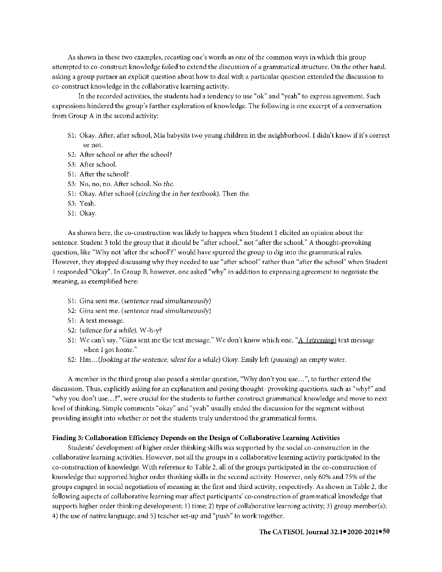As shown in these two examples, recasting one's words as one of the common ways in which this group attempted to co-construct knowledge failed to extend the discussion of a grammatical structure. On the other hand, asking a group partner an explicit question about how to deal with a particular question extended the discussion to co-construct knowledge in the collaborative learning activity.

ln the recorded activities, the students had a tendency to use "ok" and "yeah" to express agreement. Such expressions hindered the group's further exploration of knowledge. The following is one excerpt of a conversation from Group A in the second activity:

- Sl: Okay. After, after school, Mia babysits two young children in the neighborhood. I didn't know if it's correct or not.
- S2: After school or after the school?
- S3: After school.
- Sl: After the school?
- S3: No, no, no. After school. No *the.*
- Sl: Okay. After school *(circling* the *in* her *textbook).* Then *the.*
- S3: Yeah.
- Sl: Okay.

As shown here, the co-construction was likely to happen when Student 1 elicited an opinion about the sentence. Student 3 told the group that it should be "after school," not "after the school." A thought-provoking question, like "Why not 'after the school'?" would have spurred the group to dig into the grammatical rules. However, they stopped discussing why they needed to use "after school" rather than "after the school" when Student 1 responded "Okay". In Group B, however, one asked "why" in addition to expressing agreement to negotiate the meaning, as exemplified here:

- Sl: Gina sent me. *(sentence* read *simultaneously)*
- S2: Gina sent me. *(sentence* read *simultaneously)*
- S1: A text message.
- S2: *(silence for* a *while).* W-h-y?
- Sl: We can't say, "Gina sent me the text message." We don't know which one. "A *(stressing)* text message when I got home."
- S2: Hm ... *(looking at the sentence, silent for* a *while)* Okay. Emily left *(pausing)* an empty water.

A member in the third group also posed a similar question, "Why don't you use ... ", to further extend the discussion. Thus, explicitly asking for an explanation and posing thought- provoking questions, such as "why?" and "why you don't use ... ?", were crucial for the students to further construct grammatical knowledge and move to next level of thinking. Simple comments "okay" and "yeah" usually ended the discussion for the segment without providing insight into whether or not the students truly understood the grammatical forms.

## **Finding 3: Collaboration Efficiency Depends on the Design of Collaborative Learning Activities**

Students' development of higher order thinking skills was supported by the social co-construction in the collaborative learning activities. However, not all the groups in a collaborative learning activity participated in the co-construction of knowledge. With reference to Table 2, all of the groups participated in the co-construction of knowledge that supported higher order thinking skills in the second activity. However, only 60% and 75% of the groups engaged in social negotiation of meaning in the first and third activity, respectively. As shown in Table 2, the following aspects of collaborative learning may affect participants' co-construction of grammatical knowledge that supports higher order thinking development: 1) time; 2) type of collaborative learning activity; 3) group member(s); 4) the use of native language; and 5) teacher set-up and "push" to work together.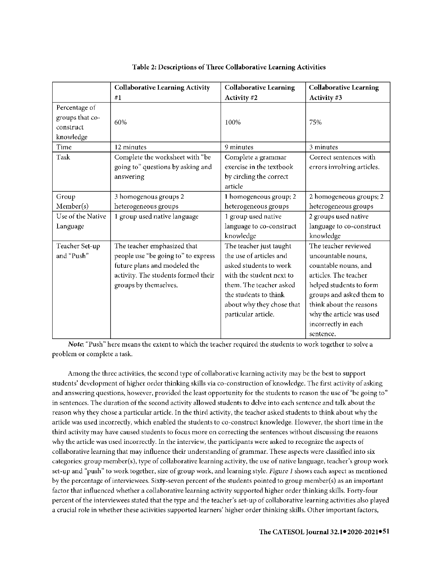|                                                            | <b>Collaborative Learning Activity</b>                                                                                                                             | <b>Collaborative Learning</b>                                                                                                                                                                                    | <b>Collaborative Learning</b>                                                                                                                                                                                                                 |
|------------------------------------------------------------|--------------------------------------------------------------------------------------------------------------------------------------------------------------------|------------------------------------------------------------------------------------------------------------------------------------------------------------------------------------------------------------------|-----------------------------------------------------------------------------------------------------------------------------------------------------------------------------------------------------------------------------------------------|
|                                                            | #1                                                                                                                                                                 | Activity #2                                                                                                                                                                                                      | Activity #3                                                                                                                                                                                                                                   |
| Percentage of<br>groups that co-<br>construct<br>knowledge | 60%                                                                                                                                                                | 100%                                                                                                                                                                                                             | 75%                                                                                                                                                                                                                                           |
| Time                                                       | 12 minutes                                                                                                                                                         | 9 minutes                                                                                                                                                                                                        | 3 minutes                                                                                                                                                                                                                                     |
| Task                                                       | Complete the worksheet with "be<br>going to" questions by asking and<br>answering                                                                                  | Complete a grammar<br>exercise in the textbook<br>by circling the correct<br>article                                                                                                                             | Correct sentences with<br>errors involving articles.                                                                                                                                                                                          |
| Group                                                      | 3 homogenous groups 2                                                                                                                                              | 1 homogeneous group; 2                                                                                                                                                                                           | 2 homogeneous groups; 2                                                                                                                                                                                                                       |
| Member(s)                                                  | heterogeneous groups                                                                                                                                               | heterogeneous groups                                                                                                                                                                                             | heterogeneous groups                                                                                                                                                                                                                          |
| Use of the Native                                          | 1 group used native language                                                                                                                                       | 1 group used native                                                                                                                                                                                              | 2 groups used native                                                                                                                                                                                                                          |
| Language                                                   |                                                                                                                                                                    | language to co-construct<br>knowledge                                                                                                                                                                            | language to co-construct<br>knowledge                                                                                                                                                                                                         |
| Teacher Set-up<br>and "Push"                               | The teacher emphasized that<br>people use "be going to" to express<br>future plans and modeled the<br>activity. The students formed their<br>groups by themselves. | The teacher just taught<br>the use of articles and<br>asked students to work<br>with the student next to<br>them. The teacher asked<br>the students to think<br>about why they chose that<br>particular article. | The teacher reviewed<br>uncountable nouns,<br>countable nouns, and<br>articles. The teacher<br>helped students to form<br>groups and asked them to<br>think about the reasons<br>why the article was used<br>incorrectly in each<br>sentence. |

| Table 2: Descriptions of Three Collaborative Learning Activities |
|------------------------------------------------------------------|
|------------------------------------------------------------------|

*Note:* "Push" here means the extent to which the teacher required the students to work together to solve a problem or complete a task

Among the three activities, the second type of collaborative learning activity may be the best to support students' development of higher order thinking skills via co-construction of knowledge. The first activity of asking and answering questions, however, provided the least opportunity for the students to reason the use of "be going to" in sentences. The duration of the second activity allowed students to delve into each sentence and talk about the reason why they chose a particular article. In the third activity, the teacher asked students to think about why the article was used incorrectly, which enabled the students to co-construct knowledge. However, the short time in the third activity may have caused students to focus more on correcting the sentences without discussing the reasons why the article was used incorrectly. In the interview, the participants were asked to recognize the aspects of collaborative learning that may influence their understanding of grammar. These aspects were classified into six categories: group member(s), type of collaborative learning activity, the use of native language, teacher's group work set-up and "push" to work together, size of group work, and learning style. *Figure 1* shows each aspect as mentioned by the percentage of interviewees. Sixty-seven percent of the students pointed to group member(s) as an important factor that influenced whether a collaborative learning activity supported higher order thinking skills. Forty-four percent of the interviewees stated that the type and the teacher's set-up of collaborative learning activities also played a crucial role in whether these activities supported learners' higher order thinking skills. Other important factors,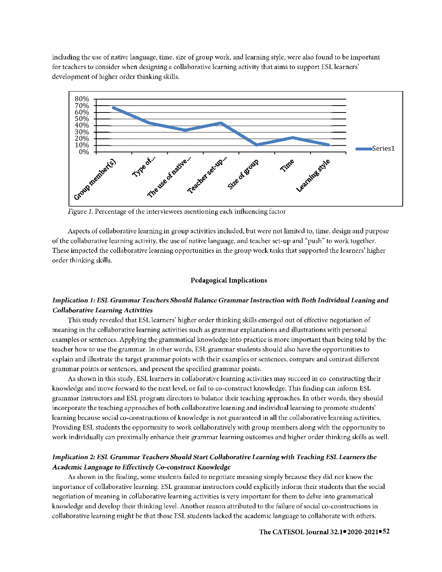including the use of native language, time, size of group work, and learning style, were also found to be important for teachers to consider when designing a collaborative learning activity that aims to support ESL learners' development of higher order thinking skills.



*Figure 1.* Percentage of the interviewees mentioning each influencing factor

Aspects of collaborative learning in group activities included, but were not limited to, time, design and purpose of the collaborative learning activity, the use of native language, and teacher set-up and "push" to work together. These impacted the collaborative learning opportunities in the group work tasks that supported the learners' higher order thinking skills.

#### **Pedagogical Implications**

# *Implication 1: ESL Grammar Teachers Should Balance* **Grammar** *Instruction with Both Individual Leaning and Collaborative Learning Activities*

This study revealed that ESL learners' higher order thinking skills emerged out of effective negotiation of meaning in the collaborative learning activities such as grammar explanations and illustrations with personal examples or sentences. Applying the grammatical knowledge into practice is more important than being told by the teacher how to use the grammar. **In** other words, ESL grammar students should also have the opportunities to explain and illustrate the target grammar points with their examples or sentences, compare and contrast different grammar points or sentences, and present the specified grammar points.

As shown in this study, ESL learners in collaborative learning activities may succeed in co-constructing their knowledge and move forward to the next level, or fail to co-construct knowledge. This finding can inform ESL grammar instructors and ESL program directors to balance their teaching approaches. In other words, they should incorporate the teaching approaches of both collaborative learning and individual learning to promote students' learning because social co-constructions of knowledge is not guaranteed **in all** the collaborative learning activities. Providing ESL students the opportunity to work collaboratively with group members along with the opportunity to work individually can proximally enhance their grammar learning outcomes and higher order thinking skills as well.

## *Implication 2: ESL* **Grammar** *Teachers Should* **Start** *Collaborative Learning* **with** *Teaching ESL Learners the Academic Language* **to** *Effectively* **Co-construct** *Knowledge*

As shown in the finding, some students failed to negotiate meaning simply because they did not know the importance of collaborative learning. ESL grammar instructors could explicitly inform their students that the social negotiation of meaning in collaborative learning activities is very important for them to delve into grammatical knowledge and develop their thinking level. Another reason attributed to the failure of social co-constructions in collaborative learning might be that those ESL students lacked the academic language to collaborate with others.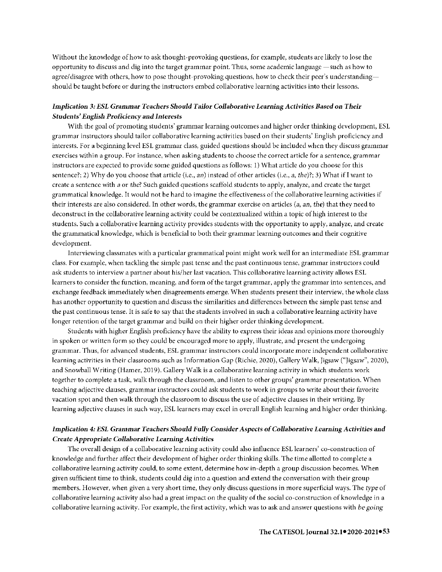Without the knowledge of how to ask thought-provoking questions, for example, students are likely to lose the opportunity to discuss and dig into the target grammar point. Thus, some academic language —such as how to agree/disagree with others, how to pose thought-provoking questions, how to check their peer's understandingshould be taught before or during the instructors embed collaborative learning activities into their lessons.

# *Implication 3: ESL Grammar Teachers Should Tailor Collaborative Learning Activities Based on Their Students' English Proficiency and Interests*

With the goal of promoting students' grammar learning outcomes and higher order thinking development, ESL grammar instructors should tailor collaborative learning activities based on their students' English proficiency and interests. For a beginning level ESL grammar class, guided questions should be included when they discuss grammar exercises within a group. For instance, when asking students to choose the correct article for a sentence, grammar instructors are expected to provide some guided questions as follows: 1) What article do you choose for this sentence?; 2) Why do you choose that article (i.e., an) instead of other articles (i.e., a, the)?; 3) What if I want to create a sentence with *a* or *the?* Such guided questions scaffold students to apply, analyze, and create the target grammatical knowledge. It would not be hard to imagine the effectiveness of the collaborative learning activities if their interests are also considered. In other words, the grammar exercise on articles (a, an, the) that they need to deconstruct in the collaborative learning activity could be contextualized within a topic of high interest to the students. Such a collaborative learning activity provides students with the opportunity to apply, analyze, and create the grammatical knowledge, which is beneficial to both their grammar learning outcomes and their cognitive development.

Interviewing classmates with a particular grammatical point might work well for an intermediate ESL grammar class. For example, when tackling the simple past tense and the past continuous tense, grammar instructors could ask students to interview a partner about his/her last vacation. This collaborative learning activity allows ESL learners to consider the function, meaning, and form of the target grammar, apply the grammar into sentences, and exchange feedback immediately when disagreements emerge. When students present their interview, the whole class has another opportunity to question and discuss the similarities and differences between the simple past tense and the past continuous tense. It is safe to say that the students involved in such a collaborative learning activity have longer retention of the target grammar and build on their higher order thinking development.

Students with higher English proficiency have the ability to express their ideas and opinions more thoroughly in spoken or written form so they could be encouraged more to apply, illustrate, and present the undergoing grammar. Thus, for advanced students, ESL grammar instructors could incorporate more independent collaborative learning activities in their classrooms such as Information Gap (Richie, 2020), Gallery Walk, Jigsaw ("Jigsaw", 2020), and Snowball Writing (Hamer, 2019). Gallery Walk is a collaborative learning activity in which students work together to complete a task, walk through the classroom, and listen to other groups' grammar presentation. When teaching adjective clauses, grammar instructors could ask students to work in groups to write about their favorite vacation spot and then walk through the classroom to discuss the use of adjective clauses in their writing. By learning adjective clauses in such way, ESL learners may excel in overall English learning and higher order thinking.

# *Implication 4: ESL* **Grammar** *Teachers Should Fully Consider Aspects of Collaborative Learning Activities and*  **Create** *Appropriate Collaborative Learning Activities*

The overall design of a collaborative learning activity could also influence ESL learners' co-construction of knowledge and further affect their development of higher order thinking skills. The time allotted to complete a collaborative learning activity could, to some extent, determine how in-depth a group discussion becomes. When given sufficient time to think, students could dig into a question and extend the conversation with their group members. However, when given a very short time, they only discuss questions in more superficial ways. The type of collaborative learning activity also had a great impact on the quality of the social co-construction of knowledge in a collaborative learning activity. For example, the first activity, which was to ask and answer questions with be *going*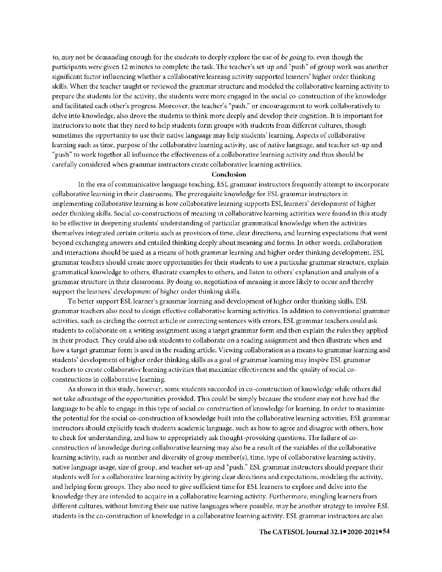*to,* may not be demanding enough for the students to deeply explore the use of *be going to,* even though the participants were given 12 minutes to complete the task. The teacher's set-up and "push" of group work was another significant factor influencing whether a collaborative learning activity supported learners' higher order thinking skills. When the teacher taught or reviewed the grammar structure and modeled the collaborative learning activity to prepare the students for the activity, the students were more engaged in the social co-construction of the knowledge and facilitated each other's progress. Moreover, the teacher's "push," or encouragement to work collaboratively to delve into knowledge, also drove the students to think more deeply and develop their cognition. It is important for instructors to note that they need to help students form groups with students from different cultures, though sometimes the opportunity to use their native language may help students' learning. Aspects of collaborative learning such as time, purpose of the collaborative learning activity, use of native language, and teacher set-up and "push" to work together all influence the effectiveness of a collaborative learning activity and thus should be carefully considered when grammar instructors create collaborative learning activities.

## **Conclusion**

ln the era of communicative language teaching, ESL grammar instructors frequently attempt to incorporate collaborative learning in their classrooms. The prerequisite knowledge for ESL grammar instructors in implementing collaborative learning is how collaborative learning supports ESL learners' development of higher order thinking skills. Social co-constructions of meaning in collaborative learning activities were found in this study to be effective in deepening students' understanding of particular grammatical knowledge when the activities themselves integrated certain criteria such as provision of time, clear directions, and learning expectations that went beyond exchanging answers and entailed thinking deeply about meaning and forms. ln other words, collaboration and interactions should be used as a means of both grammar learning and higher order thinking development. ESL grammar teachers should create more opportunities for their students to use a particular grammar structure, explain grammatical knowledge to others, illustrate examples to others, and listen to others' explanation and analysis of a grammar structure in their classrooms. By doing so, negotiation of meaning is more likely to occur and thereby support the learners' development of higher order thinking skills.

To better support ESL learner's grammar learning and development of higher order thinking skills, ESL grammar teachers also need to design effective collaborative learning activities. ln addition to conventional grammar activities, such as circling the correct article or correcting sentences with errors, ESL grammar teachers could ask students to collaborate on a writing assignment using a target grammar form and then explain the rules they applied in their product. They could also ask students to collaborate on a reading assignment and then illustrate when and how a target grammar form is used in the reading article. Viewing collaboration as a means to grammar learning and students' development of higher order thinking skills as a goal of grammar learning may inspire ESL grammar teachers to create collaborative learning activities that maximize effectiveness and the quality of social coconstructions in collaborative learning.

As shown in this study, however, some students succeeded in co-construction of knowledge while others did not take advantage of the opportunities provided. This could be simply because the student may not have had the language to be able to engage in this type of social co-construction of knowledge for learning. In order to maximize the potential for the social co-construction of knowledge built into the collaborative learning activities, ESL grammar instructors should explicitly teach students academic language, such as how to agree and disagree with others, how to check for understanding, and how to appropriately ask thought-provoking questions. The failure of coconstruction of knowledge during collaborative learning may also be a result of the variables of the collaborative learning activity, such as number and diversity of group member(s), time, type of collaborative learning activity, native language usage, size of group, and teacher set-up and "push." ESL grammar instructors should prepare their students well for a collaborative learning activity by giving clear directions and expectations, modeling the activity, and helping form groups. They also need to give sufficient time for ESL learners to explore and delve into the knowledge they are intended to acquire in a collaborative learning activity. Furthermore, mingling learners from different cultures, without limiting their use native languages where possible, may be another strategy to involve ESL students in the co-construction of knowledge in a collaborative learning activity. ESL grammar instructors are also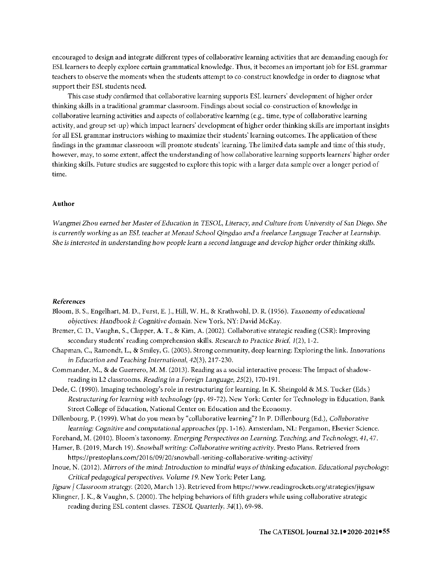encouraged to design and integrate different types of collaborative learning activities that are demanding enough for ESL learners to deeply explore certain grammatical knowledge. Thus, it becomes an important job for ESL grammar teachers to observe the moments when the students attempt to co-construct knowledge in order to diagnose what support their ESL students need.

This case study confirmed that collaborative learning supports ESL learners' development of higher order thinking skills in a traditional grammar classroom. Findings about social co-construction of knowledge in collaborative learning activities and aspects of collaborative learning ( e.g., time, type of collaborative learning activity, and group set-up) which impact learners' development of higher order thinking skills are important insights for all ESL grammar instructors wishing to maximize their students' learning outcomes. The application of these findings in the grammar classroom will promote students' learning. The limited data sample and time of this study, however, may, to some extent, affect the understanding of how collaborative learning supports learners' higher order thinking skills. Future studies are suggested to explore this topic with a larger data sample over a longer period of time.

#### **Author**

*Wangmei Zhou earned her Master of Education in TESOL, Literacy, and Culture from University of San Diego. She is currently working as an ESL teacher at Menaul School Qingdao and a freelance Language Teacher at Learnship. She is interested in understanding how people learn* a *second language and develop higher order thinking skills.* 

#### *References*

- Bloom, B. S., Engelhart, M. D., Furst, E. J., **Hill,** W. H., & Krathwohl, D.R. (1956). *Taxonomy* of *educational objectives: Handbook I: Cognitive domain.* New York, NY: David McKay.
- Bremer, C. D., Vaughn, S., Clapper, A. T., & **Kirn,** A. (2002). Collaborative strategic reading (CSR): Improving secondary students' reading comprehension skills. *Research to Practice Brief,* 1(2), 1-2.
- Chapman, C., Ramondt, L., & Smiley, G. (2005). Strong community, deep learning: Exploring the link. *Innovations in Education and Teaching International, 42(3* ), 217-230.
- Commander, M., & de Guerrero, M. M. (2013). Reading as a social interactive process: The Impact of shadowreading in L2 classrooms. *Reading in* a *Foreign Language,* 25(2), 170-191.
- Dede, C. (1990). Imaging technology's role in restructuring for learning. In K. Sheingold & M.S. Tucker (Eds.) *Restructuring* for *learning with technology(pp.* 49-72). New York: Center for Technology in Education, Bank Street College of Education, National Center on Education and the Economy.
- Dillenbourg, P. (1999). What do you mean by "collaborative learning"? In P. Dillenbourg (Ed.), *Collaborative learning: Cognitive and computational approaches* (pp. 1-16). Amsterdam, NL: Pergamon, Elsevier Science.
- Forehand, M. (2010). Bloom's taxonomy. *Emerging Perspectives on Learning, Teaching, and Technology,* 41, 47.
- Hamer, B. (2019, March 19). *Snowball writing: Collaborative writing activity.* Presto Plans. Retrieved from https://prestoplans.com/2016/09/20/snowball-writing-collaborative-writing-activity/
- lnoue, N. (2012). *1vfirrors of the mind: Introduction to mindful ways of thinking education. Educational psychology: Critical pedagogical perspectives. Volume I 9.* New York: Peter Lang.
- *Jigsaw/ Classroom strategy.* (2020, March 13). Retrieved from https:/ /www.readingrockets.org/strategies/jigsaw
- Klingner, J. K., & Vaughn, S. (2000). The helping behaviors offifth graders while using collaborative strategic reading during ESL content classes. *TESOL Quarterly,* 34(1), 69-98.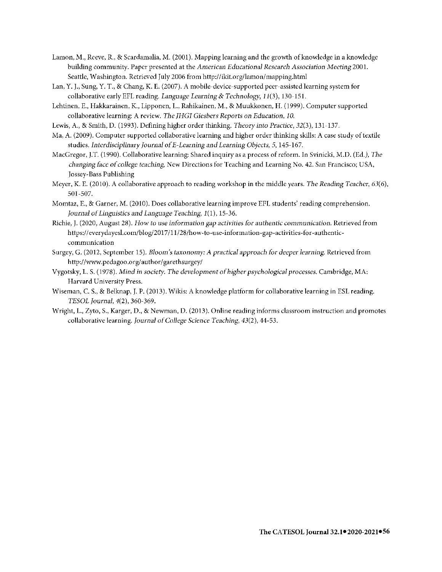- Lamon, M., Reeve, R., & Scardamalia, M. (2001). Mapping learning and the growth of knowledge in a knowledge building community. Paper presented at the *American Educational Research Association Meeting* 2001. Seattle, Washington. Retrieved July 2006 from http:/ /ikit.org/lamon/mapping.html
- Lan, Y. J., Sung, Y. T., & Chang, K. E. (2007). A mobile-device-supported peer-assisted learning system for collaborative early EFL reading. *Language Learning* & *Technology,* 11 (3), 130-151.
- Lehtinen, E., Hakkarainen, K., Lipponen, **L.,** Rahikainen, M., & Muukkonen, H. (1999). Computer supported collaborative learning: A review. The *JHGI Giesbers Reports on Education, 10.*
- Lewis, A., & Smith, D. ( 1993). Defining higher order thinking. *Theory into Practice,* 32(3 ), 131-137.
- Ma, A. (2009). Computer supported collaborative learning and higher order thinking skills: A case study of textile studies. *Interdisciplinary Journal of E-Learning and Learning Objects,* 5, 145-167.
- MacGregor, J.T. (1990). Collaborative learning: Shared inquiry as a process of reform. In Svinicki, M.D. (Ed.), *The changing face of college teaching,* New Directions for Teaching and Learning No. 42. San Francisco; USA, Jossey-Bass Publishing
- Meyer, K. E. (2010). A collaborative approach to reading workshop in the middle years. *The Reading Teacher, 63(6),*  501-507.
- Momtaz, E., & Garner, M. (2010). Does collaborative learning improve EFL students' reading comprehension. *Journal of Linguistics and Language Teaching, 1(1), 15-36.*
- Richie, J. (2020, August 28). *How to use information gap activities for authentic communication.* Retrieved from https:// everydayesl.com/blog/2017 /11/28/how-to-use-information-gap-activities-for-authenticcommunication
- Surgey, G. (2012, September 15). *Bloom's taxonomy: A practical approach for deeper learning. Retrieved from* http://www.pedagoo.org/author/garethsurgey/
- Vygotsky, L. S. ( 1978). *Mind in society. The development of higher psychological processes.* Cambridge, MA: Harvard University Press.
- Wiseman, C. S., & Belknap, J.P. (2013). Wikis: A knowledge platform for collaborative learning in ESL reading. *TESOL Journal,* 4(2), 360-369.
- Wright, L., Zyto, S., Karger, D., & Newman, D. (2013). Online reading informs classroom instruction and promotes collaborative learning. *Journal of College Science Teaching, 43(2),* 44-53.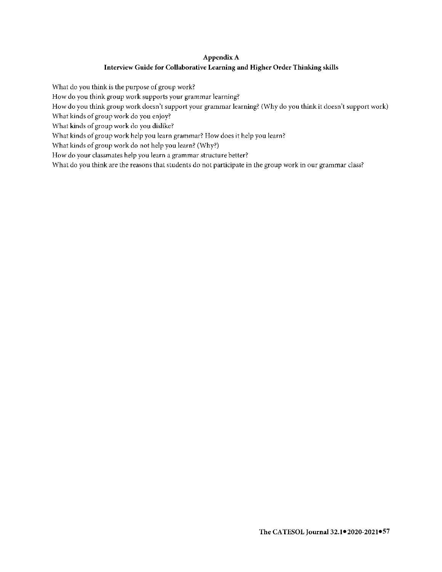# **Appendix A Interview Guide for Collaborative Learning and Higher Order Thinking skills**

What do you think is the purpose of group work?

How do you think group work supports your grammar learning?

How do you think group work doesn't support your grammar learning? (Why do you think it doesn't support work)

What kinds of group work do you enjoy?

What kinds of group work do you dislike?

What kinds of group work help you learn grammar? How does it help you learn?

What kinds of group work do not help you learn? (Why?)

How do your classmates help you learn a grammar structure better?

What do you think are the reasons that students do not participate in the group work in our grammar class?